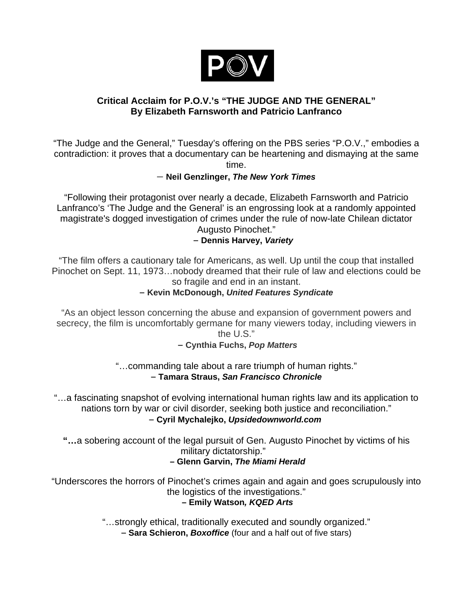

# **Critical Acclaim for P.O.V.'s "THE JUDGE AND THE GENERAL" By Elizabeth Farnsworth and Patricio Lanfranco**

"The Judge and the General," Tuesday's offering on the PBS series "P.O.V.," embodies a contradiction: it proves that a documentary can be heartening and dismaying at the same time.

#### – **Neil Genzlinger,** *The New York Times*

"Following their protagonist over nearly a decade, Elizabeth Farnsworth and Patricio Lanfranco's 'The Judge and the General' is an engrossing look at a randomly appointed magistrate's dogged investigation of crimes under the rule of now-late Chilean dictator Augusto Pinochet."

### **– Dennis Harvey,** *Variety*

"The film offers a cautionary tale for Americans, as well. Up until the coup that installed Pinochet on Sept. 11, 1973…nobody dreamed that their rule of law and elections could be so fragile and end in an instant.

#### **– Kevin McDonough,** *United Features Syndicate*

"As an object lesson concerning the abuse and expansion of government powers and secrecy, the film is uncomfortably germane for many viewers today, including viewers in the U.S."

#### **– Cynthia Fuchs,** *Pop Matters*

"…commanding tale about a rare triumph of human rights." **– Tamara Straus,** *San Francisco Chronicle*

"…a fascinating snapshot of evolving international human rights law and its application to nations torn by war or civil disorder, seeking both justice and reconciliation." **– Cyril Mychalejko,** *Upsidedownworld.com*

**"…**a sobering account of the legal pursuit of Gen. Augusto Pinochet by victims of his military dictatorship."

### **– Glenn Garvin,** *The Miami Herald*

"Underscores the horrors of Pinochet's crimes again and again and goes scrupulously into the logistics of the investigations."

#### **– Emily Watson***, KQED Arts*

"…strongly ethical, traditionally executed and soundly organized."

**– Sara Schieron,** *Boxoffice* (four and a half out of five stars)